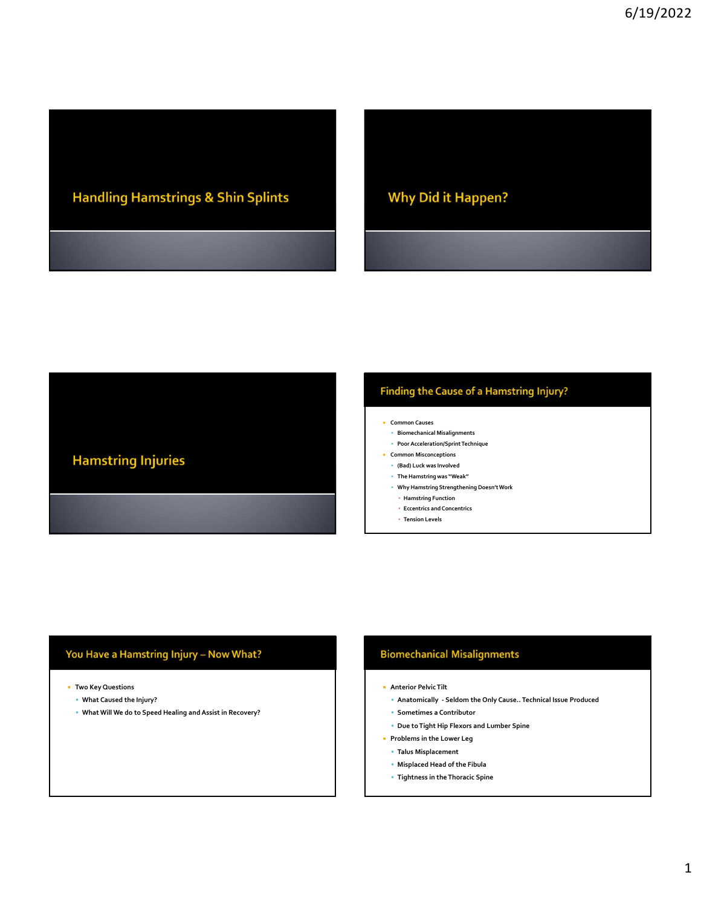# **Handling Hamstrings & Shin Splints**

**Why Did it Happen?** 

# Finding the Cause of a Hamstring Injury?

- **Common Causes**
- Biomechanical Misalignments
- Poor Acceleration/Sprint Technique **Common Misconceptions**
- (Bad) Luck was Involved
- The Hamstring was "Weak"
- 
- Why Hamstring Strengthening Doesn't Work
- Hamstring Function ▪ Eccentrics and Concentrics
- Tension Levels

# You Have a Hamstring Injury - Now What?

- Two Key Questions
	- What Caused the Injury?

**Hamstring Injuries** 

What Will We do to Speed Healing and Assist in Recovery?

- Anterior Pelvic Tilt
- F Common Causes<br>
 Proof Acceleration/Spinn Technique<br>
 Concryptom Misconceptions<br>
 Chad Juck was Nevelet<br>
 Why Hamatring Some Weak<br>
 Why Hamatring Some Weak<br>
 Hamatring Floricia<br>
 Eccentrics and Concentrics<br>
 Terat
- 
- 
- Talus Misplacement
- Misplaced Head of the Fibula
- Tightness in the Thoracic Spine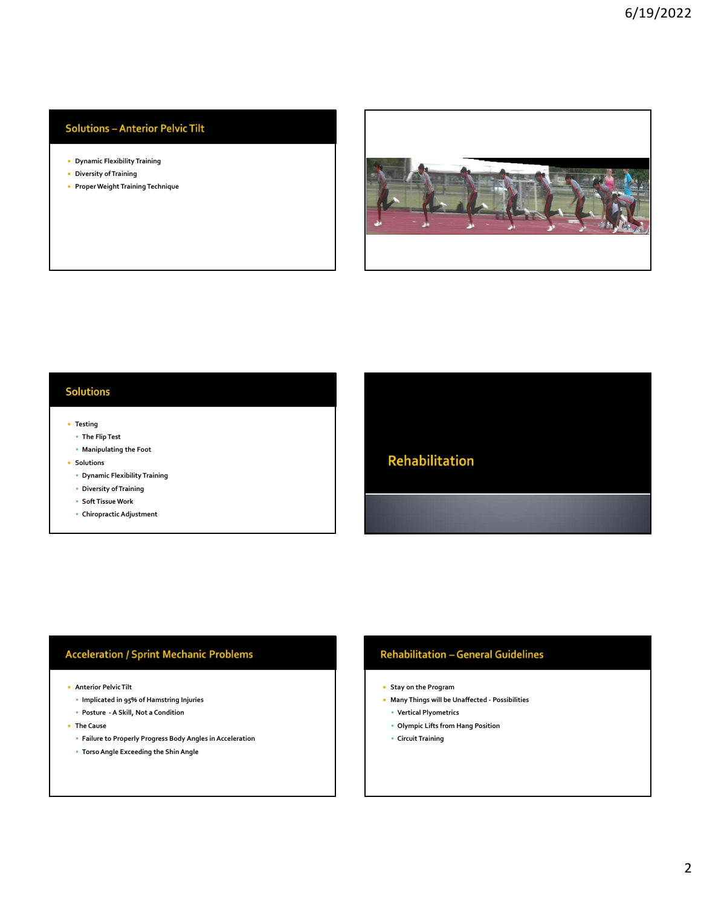# **Solutions - Anterior Pelvic Tilt**

- Dynamic Flexibility Training
- Diversity of Training
- **Proper Weight Training Technique**



# **Solutions**

- **Testing** 
	- The Flip Test
	- Manipulating the Foot
- **Solutions** 
	- Dynamic Flexibility Training
	- Diversity of Training
	- Soft Tissue Work
	- Chiropractic Adjustment

# Festival<br>
Provides the Filip Test<br>
extendion of Evaluating the Foothers<br>
Chiropractic Adjustment<br>
Chiropractic Adjustment<br>
Chiropractic Adjustment<br>
Chiropractic Adjustment<br>
Chiropractic Adjustment<br>
Chiropractic Adjustment<br>

- Anterior Pelvic Tilt
	- Implicated in 95% of Hamstring Injuries
	-
- The Cause
- Failure to Properly Progress Body Angles in Acceleration Anterior Pelvic Tilt<br>|- Implicated in 95% of Hamstring Injuries<br>|- Posture - A Skill, Not a Condition<br>|- Torso Angle Exceeding the Shin Angle<br>|- Torso Angle Exceeding the Shin Angle Shin Angle |- Internal Property Progress
	-

# Rehabilitation<br>Many Things will be Unaffected - Possibilities<br>
Many Things will be Unaffected - Possibilities<br>
- Vertical Plyometrics<br>
- Olympic Lifts from Hang Position<br>- Circuit Training

- 
- -
- Circuit Training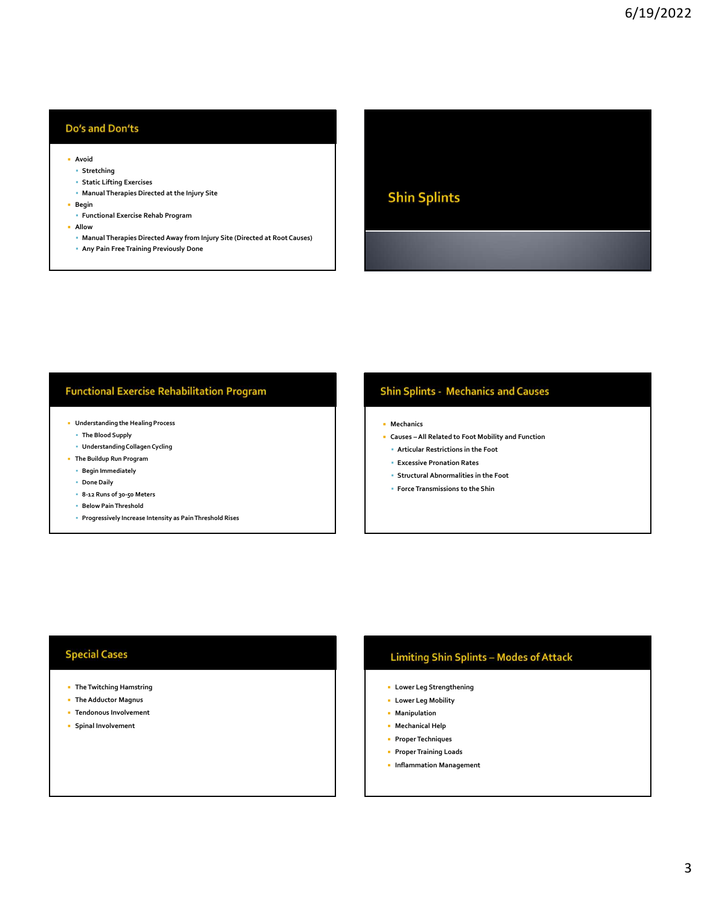## Do's and Don'ts

- **Avoid Avoid Avoid Avoid Avoid Avoid Avoid Avoid Avoid Avoid Avoid Avoid Avoid Avoid Avoid Avoid Avoid Avoid Avoid Avoid Avoid Avoid Avoid Avoid Avoid Avoid Avoid Avoid**
- Stretching
- Static Lifting Exercises
- **Manual Therapies Directed at the Injury Site** and the action of the **Shin Splints**
- **Begin** 
	- Functional Exercise Rehab Program
- Allow **Allow**
- Manual Therapies Directed Away from Injury Site (Directed at Root Causes)
- Any Pain Free Training Previously Done

# **Functional Exercise Rehabilitation Program**

- Understanding the Healing Process
	- The Blood Supply
	- Understanding Collagen Cycling
- The Buildup Run Program
	- Begin Immediately
	- **Done Daily**
	- 8-12 Runs of 30-50 Meters
	- **Below Pain Threshold**
	- Progressively Increase Intensity as Pain Threshold Rises

# **Shin Splints - Mechanics and Causes<br>
- Mechanics<br>
- Mechanics<br>
- Causes – All Related to Foot Mobility and Function<br>
- Articusive Restrictions in the Foot<br>
- Exerce Monormalities in the Foot<br>- Force Transmissions to the S**

- **Mechanics**
- 
- Articular Restrictions in the Foot
- Excessive Pronation Rates
- Structural Abnormalities in the Foot
- Force Transmissions to the Shin

# **Special Cases**

- **•** The Twitching Hamstring
- The Adductor Magnus
- Tendonous Involvement
- Spinal Involvement

# **Limiting Shin Splints - Modes of Attack**

- Lower Leg Strengthening
- Lower Leg Mobility
- **Manipulation**
- Mechanical Help
- **Proper Techniques**
- **Proper Training Loads**
- **Inflammation Management**